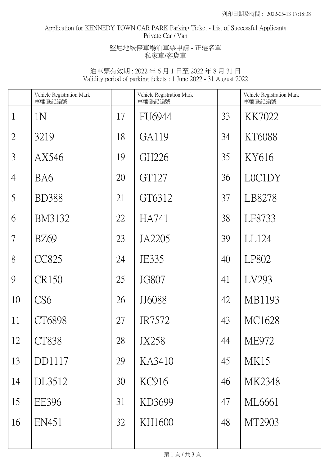## Application for KENNEDY TOWN CAR PARK Parking Ticket - List of Successful Applicants Private Car / Van

#### 堅尼地城停車場泊車票申請 - 正選名單 私家車/客貨車

|                | Vehicle Registration Mark<br>車輛登記編號 |    | Vehicle Registration Mark<br>車輛登記編號 |    | Vehicle Registration Mark<br>車輛登記編號 |
|----------------|-------------------------------------|----|-------------------------------------|----|-------------------------------------|
| $\mathbf{1}$   | 1N                                  | 17 | <b>FU6944</b>                       | 33 | KK7022                              |
| $\overline{2}$ | 3219                                | 18 | GA119                               | 34 | KT6088                              |
| $\mathfrak{Z}$ | AX546                               | 19 | GH226                               | 35 | KY616                               |
| $\overline{4}$ | BA6                                 | 20 | GT127                               | 36 | LOC1DY                              |
| 5              | <b>BD388</b>                        | 21 | GT6312                              | 37 | LB8278                              |
| 6              | <b>BM3132</b>                       | 22 | HA741                               | 38 | LF8733                              |
| $\overline{7}$ | <b>BZ69</b>                         | 23 | JA2205                              | 39 | LL124                               |
| 8              | <b>CC825</b>                        | 24 | JE335                               | 40 | LP802                               |
| 9              | <b>CR150</b>                        | 25 | JG807                               | 41 | LV293                               |
| 10             | CS <sub>6</sub>                     | 26 | JJ6088                              | 42 | MB1193                              |
| 11             | CT6898                              | 27 | JR7572                              | 43 | MC1628                              |
| 12             | <b>CT838</b>                        | 28 | <b>JX258</b>                        | 44 | <b>ME972</b>                        |
| 13             | DD1117                              | 29 | KA3410                              | 45 | MK15                                |
| 14             | DL3512                              | 30 | KC916                               | 46 | MK2348                              |
| 15             | <b>EE396</b>                        | 31 | KD3699                              | 47 | ML6661                              |
| 16             | EN451                               | 32 | KH1600                              | 48 | MT2903                              |
|                |                                     |    |                                     |    |                                     |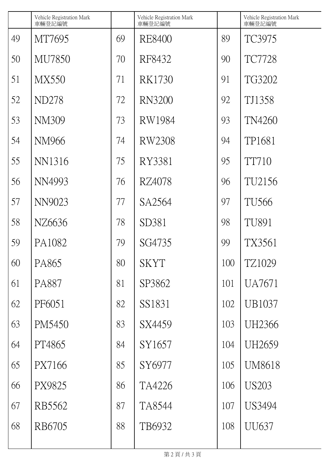|    | Vehicle Registration Mark<br>車輛登記編號 |    | Vehicle Registration Mark<br>車輛登記編號 |     | Vehicle Registration Mark<br>車輛登記編號 |
|----|-------------------------------------|----|-------------------------------------|-----|-------------------------------------|
| 49 | MT7695                              | 69 | RE8400                              | 89  | TC3975                              |
| 50 | MU7850                              | 70 | RF8432                              | 90  | <b>TC7728</b>                       |
| 51 | <b>MX550</b>                        | 71 | RK1730                              | 91  | TG3202                              |
| 52 | ND278                               | 72 | <b>RN3200</b>                       | 92  | TJ1358                              |
| 53 | NM309                               | 73 | RW1984                              | 93  | TN4260                              |
| 54 | NM966                               | 74 | RW2308                              | 94  | TP1681                              |
| 55 | NN1316                              | 75 | RY3381                              | 95  | <b>TT710</b>                        |
| 56 | NN4993                              | 76 | RZ4078                              | 96  | TU2156                              |
| 57 | NN9023                              | 77 | SA2564                              | 97  | TU566                               |
| 58 | NZ6636                              | 78 | SD381                               | 98  | <b>TU891</b>                        |
| 59 | PA1082                              | 79 | SG4735                              | 99  | TX3561                              |
| 60 | PA865                               | 80 | <b>SKYT</b>                         | 100 | TZ1029                              |
| 61 | PA887                               | 81 | SP3862                              | 101 | UA7671                              |
| 62 | PF6051                              | 82 | SS1831                              | 102 | UB1037                              |
| 63 | PM5450                              | 83 | SX4459                              | 103 | UH2366                              |
| 64 | PT4865                              | 84 | SY1657                              | 104 | UH2659                              |
| 65 | PX7166                              | 85 | SY6977                              | 105 | <b>UM8618</b>                       |
| 66 | PX9825                              | 86 | TA4226                              | 106 | <b>US203</b>                        |
| 67 | RB5562                              | 87 | TA8544                              | 107 | US3494                              |
| 68 | RB6705                              | 88 | TB6932                              | 108 | UU637                               |
|    |                                     |    |                                     |     |                                     |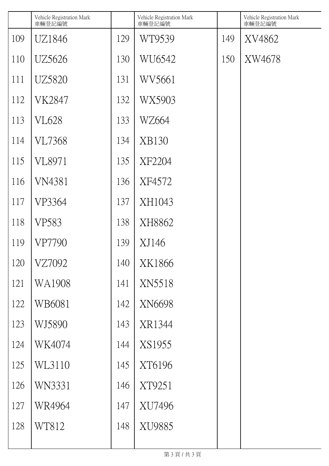|     | Vehicle Registration Mark<br>車輛登記編號 |     | Vehicle Registration Mark<br>車輛登記編號 |     | Vehicle Registration Mark<br>車輛登記編號 |
|-----|-------------------------------------|-----|-------------------------------------|-----|-------------------------------------|
| 109 | UZ1846                              | 129 | WT9539                              | 149 | XV4862                              |
| 110 | UZ5626                              | 130 | WU6542                              | 150 | XW4678                              |
| 111 | <b>UZ5820</b>                       | 131 | WV5661                              |     |                                     |
| 112 | <b>VK2847</b>                       | 132 | WX5903                              |     |                                     |
| 113 | VL628                               | 133 | WZ664                               |     |                                     |
| 114 | <b>VL7368</b>                       | 134 | <b>XB130</b>                        |     |                                     |
| 115 | VL8971                              | 135 | XF2204                              |     |                                     |
| 116 | VN4381                              | 136 | XF4572                              |     |                                     |
| 117 | VP3364                              | 137 | XH1043                              |     |                                     |
| 118 | VP583                               | 138 | XH8862                              |     |                                     |
| 119 | VP7790                              | 139 | XJ146                               |     |                                     |
| 120 | VZ7092                              | 140 | XK1866                              |     |                                     |
| 121 | WA1908                              | 141 | XN5518                              |     |                                     |
| 122 | WB6081                              | 142 | XN6698                              |     |                                     |
| 123 | WJ5890                              | 143 | XR1344                              |     |                                     |
| 124 | WK4074                              | 144 | XS1955                              |     |                                     |
| 125 | WL3110                              | 145 | XT6196                              |     |                                     |
| 126 | WN3331                              | 146 | XT9251                              |     |                                     |
| 127 | WR4964                              | 147 | XU7496                              |     |                                     |
| 128 | WT812                               | 148 | XU9885                              |     |                                     |
|     |                                     |     |                                     |     |                                     |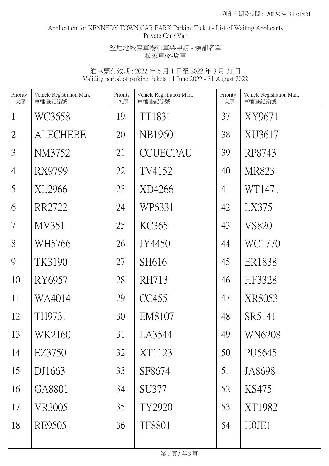## Application for KENNEDY TOWN CAR PARK Parking Ticket - List of Waiting Applicants Private Car / Van

# 堅尼地城停車場泊車票申請 - 候補名單 私家車/客貨車

| Priority<br>次序 | Vehicle Registration Mark<br>車輛登記編號 | Priority<br>次序 | Vehicle Registration Mark<br>車輛登記編號 | Priority<br>次序 | Vehicle Registration Mark<br>車輛登記編號 |
|----------------|-------------------------------------|----------------|-------------------------------------|----------------|-------------------------------------|
| $\mathbf{1}$   | WC3658                              | 19             | TT1831                              | 37             | XY9671                              |
| $\overline{2}$ | <b>ALECHEBE</b>                     | 20             | NB1960                              | 38             | XU3617                              |
| $\mathfrak{Z}$ | NM3752                              | 21             | <b>CCUECPAU</b>                     | 39             | RP8743                              |
| $\overline{4}$ | RX9799                              | 22             | TV4152                              | 40             | MR823                               |
| 5              | XL2966                              | 23             | XD4266                              | 41             | WT1471                              |
| 6              | RR2722                              | 24             | WP6331                              | 42             | LX375                               |
| $\tau$         | MV351                               | 25             | KC365                               | 43             | <b>VS820</b>                        |
| 8              | WH5766                              | 26             | JY4450                              | 44             | WC1770                              |
| 9              | TK3190                              | 27             | SH616                               | 45             | ER1838                              |
| 10             | RY6957                              | 28             | <b>RH713</b>                        | 46             | HF3328                              |
| 11             | WA4014                              | 29             | CC455                               | 47             | XR8053                              |
| 12             | TH9731                              | 30             | EM8107                              | 48             | SR5141                              |
| 13             | WK2160                              | 31             | LA3544                              | 49             | <b>WN6208</b>                       |
| 14             | EZ3750                              | 32             | XT1123                              | 50             | PU5645                              |
| 15             | DJ1663                              | 33             | SF8674                              | 51             | JA8698                              |
| 16             | GA8801                              | 34             | SU377                               | 52             | KS475                               |
| 17             | VR3005                              | 35             | TY2920                              | 53             | XT1982                              |
| 18             | RE9505                              | 36             | <b>TF8801</b>                       | 54             | HOJE1                               |
|                |                                     |                |                                     |                |                                     |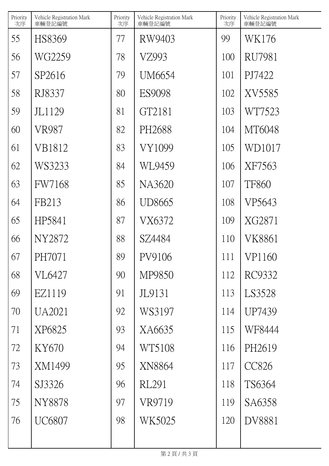| Priority<br>次序 | Vehicle Registration Mark<br>車輛登記編號 | Priority<br>次序 | Vehicle Registration Mark<br>車輛登記編號 | Priority<br>次序 | Vehicle Registration Mark<br>車輛登記編號 |
|----------------|-------------------------------------|----------------|-------------------------------------|----------------|-------------------------------------|
| 55             | HS8369                              | 77             | RW9403                              | 99             | WK176                               |
| 56             | WG2259                              | 78             | VZ993                               | 100            | <b>RU7981</b>                       |
| 57             | SP2616                              | 79             | UM6654                              | 101            | PJ7422                              |
| 58             | RJ8337                              | 80             | <b>ES9098</b>                       | 102            | XV5585                              |
| 59             | JL1129                              | 81             | GT2181                              | 103            | WT7523                              |
| 60             | <b>VR987</b>                        | 82             | PH2688                              | 104            | MT6048                              |
| 61             | VB1812                              | 83             | VY1099                              | 105            | WD1017                              |
| 62             | WS3233                              | 84             | WL9459                              | 106            | XF7563                              |
| 63             | <b>FW7168</b>                       | 85             | NA3620                              | 107            | <b>TF860</b>                        |
| 64             | FB213                               | 86             | UD8665                              | 108            | VP5643                              |
| 65             | HP5841                              | 87             | VX6372                              | 109            | XG2871                              |
| 66             | NY2872                              | 88             | SZ4484                              | 110            | VK8861                              |
| 67             | PH7071                              | 89             | PV9106                              | 111            | VP1160                              |
| 68             | <b>VL6427</b>                       | 90             | MP9850                              | 112            | RC9332                              |
| 69             | EZ1119                              | 91             | JL9131                              | 113            | LS3528                              |
| 70             | <b>UA2021</b>                       | 92             | WS3197                              | 114            | UP7439                              |
| 71             | XP6825                              | 93             | XA6635                              | 115            | WF8444                              |
| 72             | KY670                               | 94             | WT5108                              | 116            | PH2619                              |
| 73             | XM1499                              | 95             | XN8864                              | 117            | <b>CC826</b>                        |
| 74             | SJ3326                              | 96             | RL291                               | 118            | TS6364                              |
| 75             | <b>NY8878</b>                       | 97             | VR9719                              | 119            | SA6358                              |
| 76             | <b>UC6807</b>                       | 98             | WK5025                              | 120            | <b>DV8881</b>                       |
|                |                                     |                |                                     |                |                                     |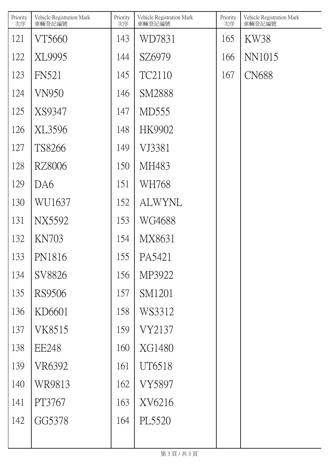| Priority<br>次序 | Vehicle Registration Mark<br>車輛登記編號 | Priority<br>次序 | Vehicle Registration Mark<br>車輛登記編號 | Priority<br>次序 | Vehicle Registration Mark<br>車輛登記編號 |
|----------------|-------------------------------------|----------------|-------------------------------------|----------------|-------------------------------------|
| 121            | VT5660                              | 143            | WD7831                              | 165            | KW38                                |
| 122            | XL9995                              | 144            | SZ6979                              | 166            | NN1015                              |
| 123            | <b>FN521</b>                        | 145            | TC2110                              | 167            | <b>CN688</b>                        |
| 124            | <b>VN950</b>                        | 146            | <b>SM2888</b>                       |                |                                     |
| 125            | XS9347                              | 147            | MD555                               |                |                                     |
| 126            | XL3596                              | 148            | HK9902                              |                |                                     |
| 127            | TS8266                              | 149            | VJ3381                              |                |                                     |
| 128            | <b>RZ8006</b>                       | 150            | MH483                               |                |                                     |
| 129            | DA6                                 | 151            | WH768                               |                |                                     |
| 130            | WU1637                              | 152            | <b>ALWYNL</b>                       |                |                                     |
| 131            | <b>NX5592</b>                       | 153            | WG4688                              |                |                                     |
| 132            | <b>KN703</b>                        | 154            | MX8631                              |                |                                     |
| 133            | PN1816                              | 155            | PA5421                              |                |                                     |
| 134            | SV8826                              | 156            | MP3922                              |                |                                     |
| 135            | RS9506                              | 157            | SM1201                              |                |                                     |
| 136            | KD6601                              | 158            | WS3312                              |                |                                     |
| 137            | VK8515                              | 159            | VY2137                              |                |                                     |
| 138            | <b>EE248</b>                        | 160            | XG1480                              |                |                                     |
| 139            | VR6392                              | 161            | UT6518                              |                |                                     |
| 140            | WR9813                              | 162            | <b>VY5897</b>                       |                |                                     |
| 141            | PT3767                              | 163            | XV6216                              |                |                                     |
| 142            | GG5378                              | 164            | PL5520                              |                |                                     |
|                |                                     |                |                                     |                |                                     |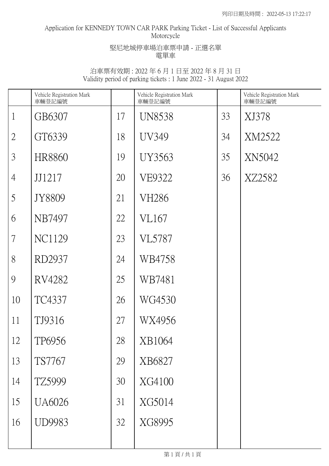## Application for KENNEDY TOWN CAR PARK Parking Ticket - List of Successful Applicants Motorcycle

堅尼地城停車場泊車票申請 - 正選名單 電單車

|                | Vehicle Registration Mark<br>車輛登記編號 |    | Vehicle Registration Mark<br>車輛登記編號 |    | Vehicle Registration Mark<br>車輛登記編號 |
|----------------|-------------------------------------|----|-------------------------------------|----|-------------------------------------|
| $\mathbf{1}$   | GB6307                              | 17 | <b>UN8538</b>                       | 33 | XJ378                               |
| $\overline{2}$ | GT6339                              | 18 | <b>UV349</b>                        | 34 | XM2522                              |
| $\overline{3}$ | HR8860                              | 19 | <b>UY3563</b>                       | 35 | XN5042                              |
| $\overline{4}$ | JJ1217                              | 20 | VE9322                              | 36 | XZ2582                              |
| 5              | JY8809                              | 21 | VH286                               |    |                                     |
| 6              | NB7497                              | 22 | VL167                               |    |                                     |
| 7              | <b>NC1129</b>                       | 23 | <b>VL5787</b>                       |    |                                     |
| 8              | RD2937                              | 24 | WB4758                              |    |                                     |
| 9              | RV4282                              | 25 | WB7481                              |    |                                     |
| 10             | TC4337                              | 26 | WG4530                              |    |                                     |
| 11             | TJ9316                              | 27 | WX4956                              |    |                                     |
| 12             | TP6956                              | 28 | XB1064                              |    |                                     |
| 13             | TS7767                              | 29 | XB6827                              |    |                                     |
| 14             | TZ5999                              | 30 | XG4100                              |    |                                     |
| 15             | <b>UA6026</b>                       | 31 | XG5014                              |    |                                     |
| 16             | <b>UD9983</b>                       | 32 | XG8995                              |    |                                     |
|                |                                     |    |                                     |    |                                     |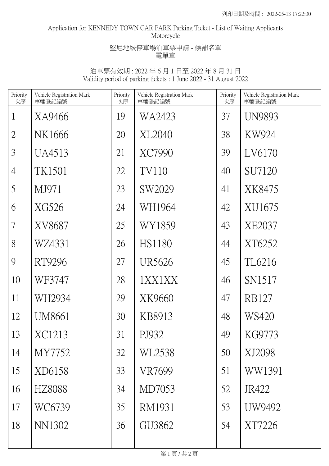# Application for KENNEDY TOWN CAR PARK Parking Ticket - List of Waiting Applicants Motorcycle

### 堅尼地城停車場泊車票申請 - 候補名單 電單車

| Priority<br>次序 | Vehicle Registration Mark<br>車輛登記編號 | Priority<br>次序 | Vehicle Registration Mark<br>車輛登記編號 | Priority<br>次序 | Vehicle Registration Mark<br>車輛登記編號 |
|----------------|-------------------------------------|----------------|-------------------------------------|----------------|-------------------------------------|
| $\mathbf{1}$   | XA9466                              | 19             | WA2423                              | 37             | <b>UN9893</b>                       |
| $\overline{2}$ | NK1666                              | 20             | XL2040                              | 38             | KW924                               |
| 3              | UA4513                              | 21             | XC7990                              | 39             | LV6170                              |
| $\overline{4}$ | TK1501                              | 22             | <b>TV110</b>                        | 40             | SU7120                              |
| 5              | MJ971                               | 23             | SW2029                              | 41             | XK8475                              |
| 6              | XG526                               | 24             | WH1964                              | 42             | XU1675                              |
| 7              | XV8687                              | 25             | WY1859                              | 43             | XE2037                              |
| 8              | WZ4331                              | 26             | <b>HS1180</b>                       | 44             | XT6252                              |
| 9              | RT9296                              | 27             | UR5626                              | 45             | TL6216                              |
| 10             | WF3747                              | 28             | 1XX1XX                              | 46             | SN1517                              |
| 11             | WH2934                              | 29             | XK9660                              | 47             | <b>RB127</b>                        |
| 12             | UM8661                              | 30             | KB8913                              | 48             | WS420                               |
| 13             | XC1213                              | 31             | PJ932                               | 49             | KG9773                              |
| 14             | MY7752                              | 32             | WL2538                              | 50             | XJ2098                              |
| 15             | XD6158                              | 33             | VR7699                              | 51             | WW1391                              |
| 16             | HZ8088                              | 34             | MD7053                              | 52             | JR422                               |
| 17             | WC6739                              | 35             | RM1931                              | 53             | UW9492                              |
| 18             | <b>NN1302</b>                       | 36             | GU3862                              | 54             | XT7226                              |
|                |                                     |                |                                     |                |                                     |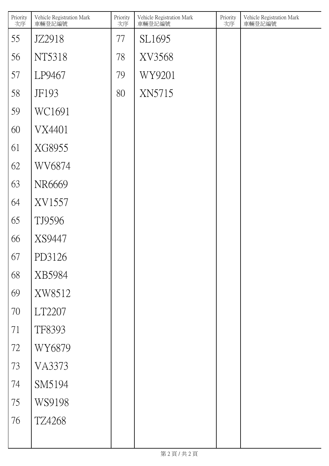| Priority<br>次序 | Vehicle Registration Mark<br>車輛登記編號 | Priority<br>次序 | Vehicle Registration Mark<br>車輛登記編號 | Priority<br>次序 | Vehicle Registration Mark<br>車輛登記編號 |
|----------------|-------------------------------------|----------------|-------------------------------------|----------------|-------------------------------------|
| 55             | JZ2918                              | 77             | SL1695                              |                |                                     |
| 56             | NT5318                              | 78             | XV3568                              |                |                                     |
| 57             | LP9467                              | 79             | WY9201                              |                |                                     |
| 58             | JF193                               | 80             | XN5715                              |                |                                     |
| 59             | WC1691                              |                |                                     |                |                                     |
| 60             | VX4401                              |                |                                     |                |                                     |
| 61             | XG8955                              |                |                                     |                |                                     |
| 62             | WV6874                              |                |                                     |                |                                     |
| 63             | NR6669                              |                |                                     |                |                                     |
| 64             | XV1557                              |                |                                     |                |                                     |
| 65             | TJ9596                              |                |                                     |                |                                     |
| 66             | XS9447                              |                |                                     |                |                                     |
| 67             | PD3126                              |                |                                     |                |                                     |
| 68             | XB5984                              |                |                                     |                |                                     |
| 69             | XW8512                              |                |                                     |                |                                     |
| $70\,$         | LT2207                              |                |                                     |                |                                     |
| 71             | TF8393                              |                |                                     |                |                                     |
| $72\,$         | WY6879                              |                |                                     |                |                                     |
| 73             | <b>VA3373</b>                       |                |                                     |                |                                     |
| 74             | SM5194                              |                |                                     |                |                                     |
| 75             | WS9198                              |                |                                     |                |                                     |
| 76             | <b>TZ4268</b>                       |                |                                     |                |                                     |
|                |                                     |                |                                     |                |                                     |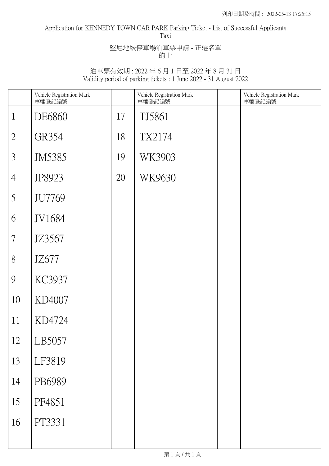#### Application for KENNEDY TOWN CAR PARK Parking Ticket - List of Successful Applicants Taxi

堅尼地城停車場泊車票申請 - 正選名單 的士

|                          | Vehicle Registration Mark<br>車輛登記編號 |    | Vehicle Registration Mark<br>車輛登記編號 | Vehicle Registration Mark<br>車輛登記編號 |
|--------------------------|-------------------------------------|----|-------------------------------------|-------------------------------------|
| $\mathbf{1}$             | DE6860                              | 17 | TJ5861                              |                                     |
| $\overline{2}$           | GR354                               | 18 | TX2174                              |                                     |
| $\mathfrak{Z}$           | JM5385                              | 19 | WK3903                              |                                     |
| $\overline{4}$           | JP8923                              | 20 | WK9630                              |                                     |
| 5                        | JU7769                              |    |                                     |                                     |
| 6                        | JV1684                              |    |                                     |                                     |
| $\overline{\mathcal{L}}$ | JZ3567                              |    |                                     |                                     |
| 8                        | JZ677                               |    |                                     |                                     |
| 9                        | KC3937                              |    |                                     |                                     |
| 10                       | KD4007                              |    |                                     |                                     |
| 11                       | KD4724                              |    |                                     |                                     |
| 12                       | LB5057                              |    |                                     |                                     |
| 13                       | LF3819                              |    |                                     |                                     |
| 14                       | PB6989                              |    |                                     |                                     |
| 15                       | PF4851                              |    |                                     |                                     |
| 16                       | PT3331                              |    |                                     |                                     |
|                          |                                     |    |                                     |                                     |